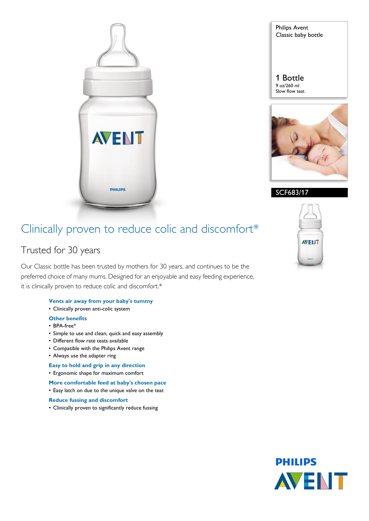

Philips Avent Classic baby bottle

1 Bottle 9 oz/260 ml Slow flow teat



SCF683/17

# Clinically proven to reduce colic and discomfort\*

# Trusted for 30 years

Our Classic bottle has been trusted by mothers for 30 years, and continues to be the preferred choice of many mums. Designed for an enjoyable and easy feeding experience, it is clinically proven to reduce colic and discomfort.\*

- **Vents air away from your baby's tummy**
- Clinically proven anti-colic system

# **Other benefits**

- BPA-free\*
- Simple to use and clean, quick and easy assembly
- Different flow rate teats available
- Compatible with the Philips Avent range
- Always use the adapter ring

# **Easy to hold and grip in any direction**

- Ergonomic shape for maximum comfort
- **More comfortable feed at baby's chosen pace**
- Easy latch on due to the unique valve on the teat
- **Reduce fussing and discomfort**
- Clinically proven to significantly reduce fussing



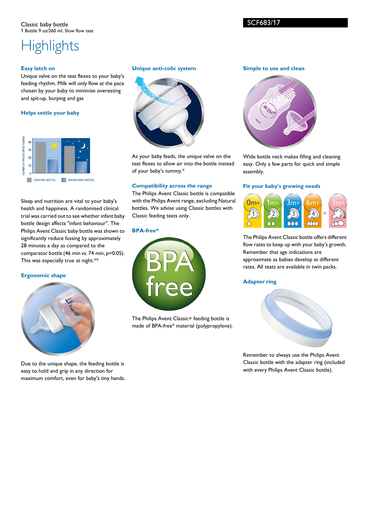#### Classic baby bottle 1 Bottle 9 oz/260 ml, Slow flow teat

# **Highlights**

### **Easy latch on**

Unique valve on the teat flexes to your baby's feeding rhythm. Milk will only flow at the pace chosen by your baby to minimise overeating and spit-up, burping and gas

# **Helps settle your baby**



Sleep and nutrition are vital to your baby's health and happiness. A randomised clinical trial was carried out to see whether infant baby bottle design affects "infant behaviour". The Philips Avent Classic baby bottle was shown to significantly reduce fussing by approximately 28 minutes a day as compared to the comparator bottle (46 min vs. 74 min, p=0.05). This was especially true at night.\*\*

# **Ergonomic shape**



Due to the unique shape, the feeding bottle is easy to hold and grip in any direction for maximum comfort, even for baby's tiny hands.

### **Unique anti-colic system**



As your baby feeds, the unique valve on the teat flexes to allow air into the bottle instead of your baby's tummy.\*

#### **Compatibility across the range**

The Philips Avent Classic bottle is compatible with the Philips Avent range, excluding Natural bottles. We advise using Classic bottles with Classic feeding teats only.

#### **BPA-free\***



The Philips Avent Classic+ feeding bottle is made of BPA-free\* material (polypropylene).

#### **Simple to use and clean**



Wide bottle neck makes filling and cleaning easy. Only a few parts for quick and simple assembly.

#### **Fit your baby's growing needs**



The Philips Avent Classic bottle offers different flow rates to keep up with your baby's growth. Remember that age indications are approximate as babies develop at different rates. All teats are available in twin packs.

### **Adapter ring**



Remember to always use the Philips Avent Classic bottle with the adapter ring (included with every Philips Avent Classic bottle).